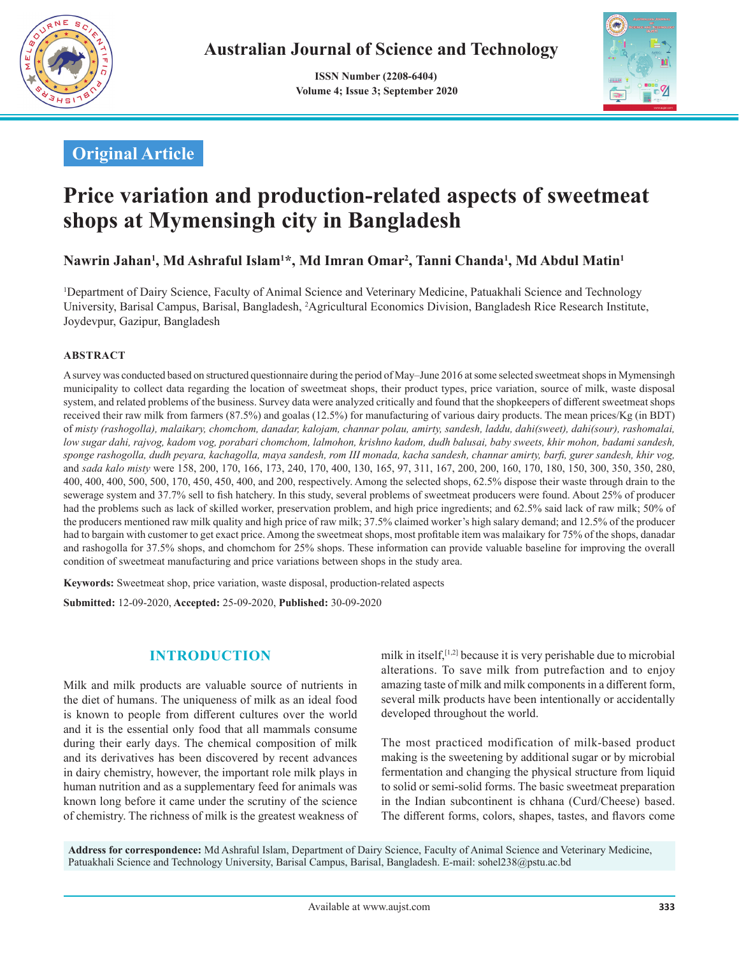

 **ISSN Number (2208-6404) Volume 4; Issue 3; September 2020**



## **Original Article**

# **Price variation and production-related aspects of sweetmeat shops at Mymensingh city in Bangladesh**

**Nawrin Jahan1 , Md Ashraful Islam1 \*, Md Imran Omar2 , Tanni Chanda1 , Md Abdul Matin1**

1 Department of Dairy Science, Faculty of Animal Science and Veterinary Medicine, Patuakhali Science and Technology University, Barisal Campus, Barisal, Bangladesh, <sup>2</sup>Agricultural Economics Division, Bangladesh Rice Research Institute, Joydevpur, Gazipur, Bangladesh

#### **ABSTRACT**

A survey was conducted based on structured questionnaire during the period of May–June 2016 at some selected sweetmeat shops in Mymensingh municipality to collect data regarding the location of sweetmeat shops, their product types, price variation, source of milk, waste disposal system, and related problems of the business. Survey data were analyzed critically and found that the shopkeepers of different sweetmeat shops received their raw milk from farmers (87.5%) and goalas (12.5%) for manufacturing of various dairy products. The mean prices/Kg (in BDT) of *misty (rashogolla), malaikary, chomchom, danadar, kalojam, channar polau, amirty, sandesh, laddu, dahi(sweet), dahi(sour), rashomalai, low sugar dahi, rajvog, kadom vog, porabari chomchom, lalmohon, krishno kadom, dudh balusai, baby sweets, khir mohon, badami sandesh, sponge rashogolla, dudh peyara, kachagolla, maya sandesh, rom III monada, kacha sandesh, channar amirty, barfi, gurer sandesh, khir vog,*  and *sada kalo misty* were 158, 200, 170, 166, 173, 240, 170, 400, 130, 165, 97, 311, 167, 200, 200, 160, 170, 180, 150, 300, 350, 350, 280, 400, 400, 400, 500, 500, 170, 450, 450, 400, and 200, respectively. Among the selected shops, 62.5% dispose their waste through drain to the sewerage system and 37.7% sell to fish hatchery. In this study, several problems of sweetmeat producers were found. About 25% of producer had the problems such as lack of skilled worker, preservation problem, and high price ingredients; and 62.5% said lack of raw milk; 50% of the producers mentioned raw milk quality and high price of raw milk; 37.5% claimed worker's high salary demand; and 12.5% of the producer had to bargain with customer to get exact price. Among the sweetmeat shops, most profitable item was malaikary for 75% of the shops, danadar and rashogolla for 37.5% shops, and chomchom for 25% shops. These information can provide valuable baseline for improving the overall condition of sweetmeat manufacturing and price variations between shops in the study area.

**Keywords:** Sweetmeat shop, price variation, waste disposal, production-related aspects

**Submitted:** 12-09-2020, **Accepted:** 25-09-2020, **Published:** 30-09-2020

## **INTRODUCTION**

Milk and milk products are valuable source of nutrients in the diet of humans. The uniqueness of milk as an ideal food is known to people from different cultures over the world and it is the essential only food that all mammals consume during their early days. The chemical composition of milk and its derivatives has been discovered by recent advances in dairy chemistry, however, the important role milk plays in human nutrition and as a supplementary feed for animals was known long before it came under the scrutiny of the science of chemistry. The richness of milk is the greatest weakness of milk in itself,<sup>[1,2]</sup> because it is very perishable due to microbial alterations. To save milk from putrefaction and to enjoy amazing taste of milk and milk components in a different form, several milk products have been intentionally or accidentally developed throughout the world.

The most practiced modification of milk-based product making is the sweetening by additional sugar or by microbial fermentation and changing the physical structure from liquid to solid or semi-solid forms. The basic sweetmeat preparation in the Indian subcontinent is chhana (Curd/Cheese) based. The different forms, colors, shapes, tastes, and flavors come

**Address for correspondence:** Md Ashraful Islam, Department of Dairy Science, Faculty of Animal Science and Veterinary Medicine, Patuakhali Science and Technology University, Barisal Campus, Barisal, Bangladesh. E-mail: sohel238@pstu.ac.bd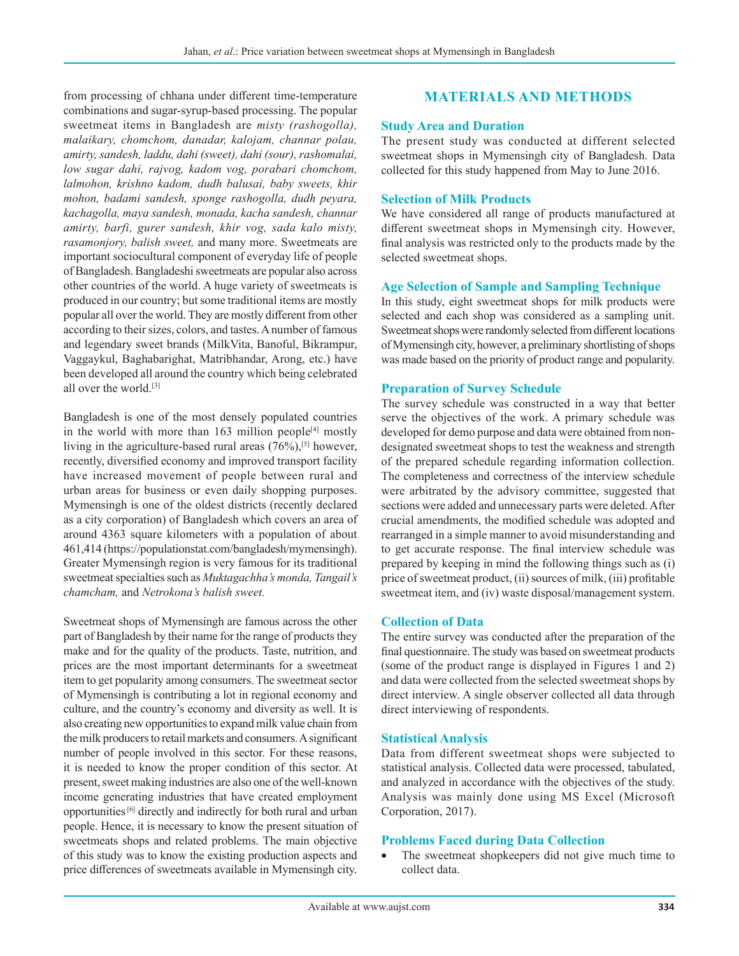from processing of chhana under different time-temperature combinations and sugar-syrup-based processing. The popular sweetmeat items in Bangladesh are *misty (rashogolla), malaikary, chomchom, danadar, kalojam, channar polau, amirty, sandesh, laddu, dahi (sweet), dahi (sour), rashomalai, low sugar dahi, rajvog, kadom vog, porabari chomchom, lalmohon, krishno kadom, dudh balusai, baby sweets, khir mohon, badami sandesh, sponge rashogolla, dudh peyara, kachagolla, maya sandesh, monada, kacha sandesh, channar amirty, barfi, gurer sandesh, khir vog, sada kalo misty, rasamonjory, balish sweet,* and many more. Sweetmeats are important sociocultural component of everyday life of people of Bangladesh. Bangladeshi sweetmeats are popular also across other countries of the world. A huge variety of sweetmeats is produced in our country; but some traditional items are mostly popular all over the world. They are mostly different from other according to their sizes, colors, and tastes. A number of famous and legendary sweet brands (MilkVita, Banoful, Bikrampur, Vaggaykul, Baghabarighat, Matribhandar, Arong, etc.) have been developed all around the country which being celebrated all over the world.[3]

Bangladesh is one of the most densely populated countries in the world with more than  $163$  million people<sup>[4]</sup> mostly living in the agriculture-based rural areas  $(76\%)$ ,<sup>[5]</sup> however, recently, diversified economy and improved transport facility have increased movement of people between rural and urban areas for business or even daily shopping purposes. Mymensingh is one of the oldest districts (recently declared as a city corporation) of Bangladesh which covers an area of around 4363 square kilometers with a population of about 461,414 (https://populationstat.com/bangladesh/mymensingh). Greater Mymensingh region is very famous for its traditional sweetmeat specialties such as *Muktagachha's monda, Tangail's chamcham,* and *Netrokona's balish sweet.*

Sweetmeat shops of Mymensingh are famous across the other part of Bangladesh by their name for the range of products they make and for the quality of the products. Taste, nutrition, and prices are the most important determinants for a sweetmeat item to get popularity among consumers. The sweetmeat sector of Mymensingh is contributing a lot in regional economy and culture, and the country's economy and diversity as well. It is also creating new opportunities to expand milk value chain from the milk producers to retail markets and consumers. A significant number of people involved in this sector. For these reasons, it is needed to know the proper condition of this sector. At present, sweet making industries are also one of the well-known income generating industries that have created employment opportunities [6] directly and indirectly for both rural and urban people. Hence, it is necessary to know the present situation of sweetmeats shops and related problems. The main objective of this study was to know the existing production aspects and price differences of sweetmeats available in Mymensingh city.

### **MATERIALS AND METHODS**

#### **Study Area and Duration**

The present study was conducted at different selected sweetmeat shops in Mymensingh city of Bangladesh. Data collected for this study happened from May to June 2016.

#### **Selection of Milk Products**

We have considered all range of products manufactured at different sweetmeat shops in Mymensingh city. However, final analysis was restricted only to the products made by the selected sweetmeat shops.

#### **Age Selection of Sample and Sampling Technique**

In this study, eight sweetmeat shops for milk products were selected and each shop was considered as a sampling unit. Sweetmeat shops were randomly selected from different locations of Mymensingh city, however, a preliminary shortlisting of shops was made based on the priority of product range and popularity.

#### **Preparation of Survey Schedule**

The survey schedule was constructed in a way that better serve the objectives of the work. A primary schedule was developed for demo purpose and data were obtained from nondesignated sweetmeat shops to test the weakness and strength of the prepared schedule regarding information collection. The completeness and correctness of the interview schedule were arbitrated by the advisory committee, suggested that sections were added and unnecessary parts were deleted. After crucial amendments, the modified schedule was adopted and rearranged in a simple manner to avoid misunderstanding and to get accurate response. The final interview schedule was prepared by keeping in mind the following things such as (i) price of sweetmeat product, (ii) sources of milk, (iii) profitable sweetmeat item, and (iv) waste disposal/management system.

#### **Collection of Data**

The entire survey was conducted after the preparation of the final questionnaire. The study was based on sweetmeat products (some of the product range is displayed in Figures 1 and 2) and data were collected from the selected sweetmeat shops by direct interview. A single observer collected all data through direct interviewing of respondents.

#### **Statistical Analysis**

Data from different sweetmeat shops were subjected to statistical analysis. Collected data were processed, tabulated, and analyzed in accordance with the objectives of the study. Analysis was mainly done using MS Excel (Microsoft Corporation, 2017).

#### **Problems Faced during Data Collection**

The sweetmeat shopkeepers did not give much time to collect data.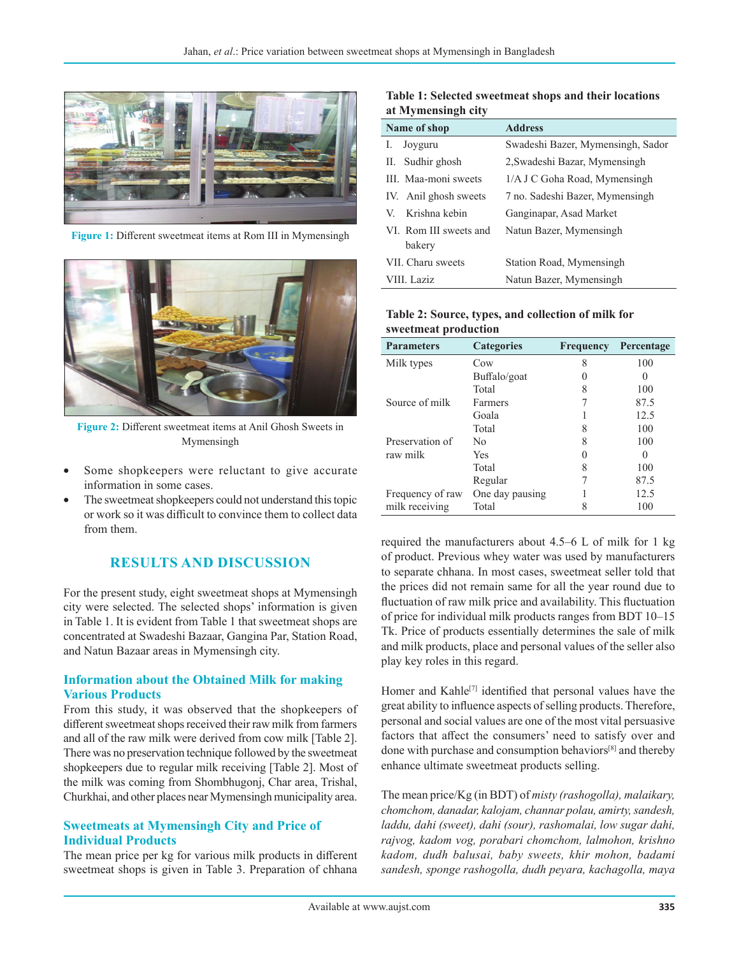

**Figure 1:** Different sweetmeat items at Rom III in Mymensingh



**Figure 2:** Different sweetmeat items at Anil Ghosh Sweets in Mymensingh

- Some shopkeepers were reluctant to give accurate information in some cases.
- The sweetmeat shopkeepers could not understand this topic or work so it was difficult to convince them to collect data from them.

## **RESULTS AND DISCUSSION**

For the present study, eight sweetmeat shops at Mymensingh city were selected. The selected shops' information is given in Table 1. It is evident from Table 1 that sweetmeat shops are concentrated at Swadeshi Bazaar, Gangina Par, Station Road, and Natun Bazaar areas in Mymensingh city.

#### **Information about the Obtained Milk for making Various Products**

From this study, it was observed that the shopkeepers of different sweetmeat shops received their raw milk from farmers and all of the raw milk were derived from cow milk [Table 2]. There was no preservation technique followed by the sweetmeat shopkeepers due to regular milk receiving [Table 2]. Most of the milk was coming from Shombhugonj, Char area, Trishal, Churkhai, and other places near Mymensingh municipality area.

#### **Sweetmeats at Mymensingh City and Price of Individual Products**

The mean price per kg for various milk products in different sweetmeat shops is given in Table 3. Preparation of chhana

**Table 1: Selected sweetmeat shops and their locations at Mymensingh city**

| Name of shop           | <b>Address</b>                    |
|------------------------|-----------------------------------|
| Joyguru<br>I.          | Swadeshi Bazer, Mymensingh, Sador |
| II. Sudhir ghosh       | 2, Swadeshi Bazar, Mymensingh     |
| III. Maa-moni sweets   | 1/A J C Goha Road, Mymensingh     |
| IV. Anil ghosh sweets  | 7 no. Sadeshi Bazer, Mymensingh   |
| Krishna kebin<br>V.    | Ganginapar, Asad Market           |
| VI. Rom III sweets and | Natun Bazer, Mymensingh           |
| bakery                 |                                   |
| VII. Charu sweets      | Station Road, Mymensingh          |
| VIII. Laziz            | Natun Bazer, Mymensingh           |

#### **Table 2: Source, types, and collection of milk for sweetmeat production**

| <b>Parameters</b> | <b>Categories</b> | <b>Frequency</b> | Percentage |
|-------------------|-------------------|------------------|------------|
| Milk types        | Cow               | 8                | 100        |
|                   | Buffalo/goat      |                  |            |
|                   | Total             | 8                | 100        |
| Source of milk    | Farmers           |                  | 87.5       |
|                   | Goala             |                  | 12.5       |
|                   | Total             | 8                | 100        |
| Preservation of   | Nο                | 8                | 100        |
| raw milk          | Yes               |                  |            |
|                   | Total             | 8                | 100        |
|                   | Regular           |                  | 87.5       |
| Frequency of raw  | One day pausing   |                  | 12.5       |
| milk receiving    | Total             |                  | 100        |

required the manufacturers about 4.5–6 L of milk for 1 kg of product. Previous whey water was used by manufacturers to separate chhana. In most cases, sweetmeat seller told that the prices did not remain same for all the year round due to fluctuation of raw milk price and availability. This fluctuation of price for individual milk products ranges from BDT 10–15 Tk. Price of products essentially determines the sale of milk and milk products, place and personal values of the seller also play key roles in this regard.

Homer and Kahle<sup>[7]</sup> identified that personal values have the great ability to influence aspects of selling products. Therefore, personal and social values are one of the most vital persuasive factors that affect the consumers' need to satisfy over and done with purchase and consumption behaviors[8] and thereby enhance ultimate sweetmeat products selling.

The mean price/Kg (in BDT) of *misty (rashogolla), malaikary, chomchom, danadar, kalojam, channar polau, amirty, sandesh, laddu, dahi (sweet), dahi (sour), rashomalai, low sugar dahi, rajvog, kadom vog, porabari chomchom, lalmohon, krishno kadom, dudh balusai, baby sweets, khir mohon, badami sandesh, sponge rashogolla, dudh peyara, kachagolla, maya*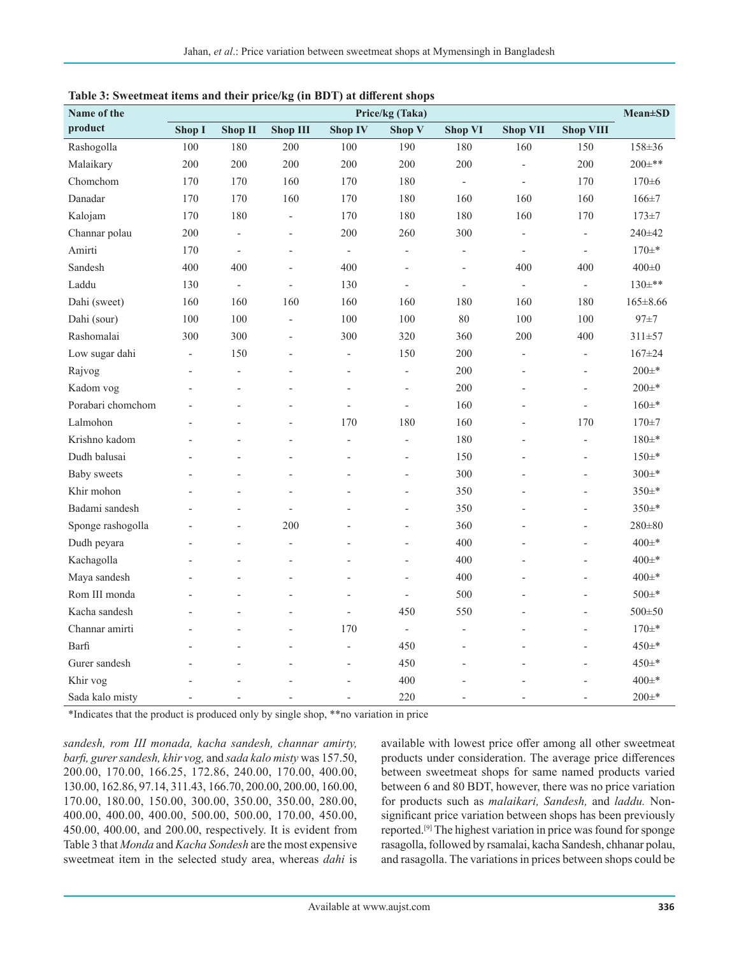| radic 5. Sweetineat items and their price/kg (in DDT) at unferent shops<br>Price/kg (Taka)<br>Name of the |                          |                          |                          |                          |                          | <b>Mean</b> ±SD          |                          |                          |                |
|-----------------------------------------------------------------------------------------------------------|--------------------------|--------------------------|--------------------------|--------------------------|--------------------------|--------------------------|--------------------------|--------------------------|----------------|
| product                                                                                                   | Shop I                   | Shop II                  | <b>Shop III</b>          | <b>Shop IV</b>           | Shop V                   | <b>Shop VI</b>           | <b>Shop VII</b>          | <b>Shop VIII</b>         |                |
| Rashogolla                                                                                                | 100                      | 180                      | 200                      | 100                      | 190                      | 180                      | 160                      | 150                      | 158±36         |
| Malaikary                                                                                                 | 200                      | 200                      | 200                      | 200                      | 200                      | 200                      | $\overline{\phantom{m}}$ | 200                      | $200 \pm **$   |
| Chomchom                                                                                                  | 170                      | 170                      | 160                      | 170                      | 180                      | $\blacksquare$           | $\overline{\phantom{m}}$ | 170                      | $170 \pm 6$    |
| Danadar                                                                                                   | 170                      | 170                      | 160                      | 170                      | 180                      | 160                      | 160                      | 160                      | $166 + 7$      |
| Kalojam                                                                                                   | 170                      | 180                      | $\overline{\phantom{a}}$ | 170                      | 180                      | 180                      | 160                      | 170                      | $173 \pm 7$    |
| Channar polau                                                                                             | 200                      | $\overline{\phantom{0}}$ | $\overline{a}$           | 200                      | 260                      | 300                      | $\overline{\phantom{m}}$ | $\overline{\phantom{a}}$ | 240±42         |
| Amirti                                                                                                    | 170                      | $\overline{\phantom{0}}$ | $\overline{a}$           | $\overline{\phantom{a}}$ | $\overline{\phantom{0}}$ | $\overline{\phantom{0}}$ | $\overline{a}$           | $\overline{a}$           | $170 \pm ^{*}$ |
| Sandesh                                                                                                   | 400                      | 400                      | $\overline{a}$           | 400                      | $\overline{a}$           | L,                       | 400                      | 400                      | $400\pm0$      |
| Laddu                                                                                                     | 130                      | $\overline{a}$           | $\overline{\phantom{0}}$ | 130                      | $\frac{1}{2}$            | $\overline{a}$           | $\overline{\phantom{a}}$ | $\overline{\phantom{a}}$ | $130\pm$ **    |
| Dahi (sweet)                                                                                              | 160                      | 160                      | 160                      | 160                      | 160                      | 180                      | 160                      | 180                      | $165 \pm 8.66$ |
| Dahi (sour)                                                                                               | 100                      | 100                      | $\overline{\phantom{a}}$ | 100                      | 100                      | 80                       | 100                      | 100                      | $97 + 7$       |
| Rashomalai                                                                                                | 300                      | 300                      | $\overline{\phantom{a}}$ | 300                      | 320                      | 360                      | 200                      | 400                      | $311 \pm 57$   |
| Low sugar dahi                                                                                            | $\overline{\phantom{m}}$ | 150                      | L,                       | $\overline{\phantom{a}}$ | 150                      | 200                      | $\overline{a}$           | $\overline{\phantom{a}}$ | $167 \pm 24$   |
| Rajvog                                                                                                    | $\overline{a}$           | $\overline{a}$           | $\overline{a}$           | $\overline{a}$           | $\overline{\phantom{0}}$ | 200                      | $\overline{a}$           | $\overline{\phantom{a}}$ | $200 \pm ^*$   |
| Kadom vog                                                                                                 |                          |                          |                          | $\overline{a}$           | $\overline{a}$           | 200                      |                          | $\overline{\phantom{a}}$ | $200 \pm ^{*}$ |
| Porabari chomchom                                                                                         |                          |                          | $\overline{a}$           | $\overline{a}$           | $\overline{a}$           | 160                      | $\overline{a}$           | $\overline{a}$           | $160\pm*$      |
| Lalmohon                                                                                                  |                          |                          | L,                       | 170                      | 180                      | 160                      |                          | 170                      | $170 + 7$      |
| Krishno kadom                                                                                             |                          |                          | $\overline{a}$           |                          | $\overline{a}$           | 180                      |                          |                          | $180 +$        |
| Dudh balusai                                                                                              |                          |                          |                          |                          |                          | 150                      |                          |                          | $150 +$ *      |
| <b>Baby</b> sweets                                                                                        |                          |                          | $\overline{a}$           |                          | $\overline{a}$           | 300                      |                          | $\overline{a}$           | $300 \pm *$    |
| Khir mohon                                                                                                |                          |                          | L,                       |                          | $\overline{a}$           | 350                      |                          | $\overline{a}$           | 350±*          |
| Badami sandesh                                                                                            |                          |                          | $\overline{a}$           |                          | $\overline{a}$           | 350                      |                          | $\overline{a}$           | $350 \pm$ *    |
| Sponge rashogolla                                                                                         |                          | $\overline{a}$           | 200                      |                          | $\overline{a}$           | 360                      |                          |                          | $280 \pm 80$   |
| Dudh peyara                                                                                               |                          |                          | L,                       |                          | $\overline{a}$           | 400                      |                          |                          | $400 \pm ^{*}$ |
| Kachagolla                                                                                                |                          |                          | $\overline{a}$           |                          | $\overline{a}$           | 400                      |                          | $\overline{a}$           | $400 \pm ^{*}$ |
| Maya sandesh                                                                                              |                          |                          | ÷,                       |                          | $\overline{a}$           | 400                      |                          |                          | $400 \pm ^{*}$ |
| Rom III monda                                                                                             |                          |                          | L,                       | $\overline{a}$           | $\overline{\phantom{m}}$ | 500                      |                          | $\overline{a}$           | $500 \pm *$    |
| Kacha sandesh                                                                                             |                          |                          | L,                       | ÷,                       | 450                      | 550                      |                          | $\overline{a}$           | $500 \pm 50$   |
| Channar amirti                                                                                            |                          |                          | L,                       | 170                      | $\overline{\phantom{a}}$ | $\overline{a}$           |                          | $\overline{\phantom{a}}$ | $170 +$ *      |
| Barfi                                                                                                     |                          |                          | $\overline{a}$           |                          | 450                      | L,                       |                          | $\overline{a}$           | $450 +$ *      |
| Gurer sandesh                                                                                             |                          | $\overline{a}$           | $\overline{a}$           | $\overline{\phantom{a}}$ | 450                      | $\overline{a}$           |                          | $\overline{a}$           | $450 \pm ^{*}$ |
| Khir vog                                                                                                  |                          |                          |                          |                          | 400                      |                          |                          |                          | $400 \pm ^{*}$ |
| Sada kalo misty                                                                                           | $\overline{a}$           |                          | $\overline{\phantom{a}}$ | $\overline{a}$           | 220                      | $\overline{a}$           | $\overline{a}$           |                          | $200 \pm ^*$   |

| Table 3: Sweetmeat items and their price/kg (in BDT) at different shops |  |  |  |  |
|-------------------------------------------------------------------------|--|--|--|--|
|                                                                         |  |  |  |  |

\*Indicates that the product is produced only by single shop, \*\*no variation in price

*sandesh, rom III monada, kacha sandesh, channar amirty, barfi, gurer sandesh, khir vog,* and *sada kalo misty* was 157.50, 200.00, 170.00, 166.25, 172.86, 240.00, 170.00, 400.00, 130.00, 162.86, 97.14, 311.43, 166.70, 200.00, 200.00, 160.00, 170.00, 180.00, 150.00, 300.00, 350.00, 350.00, 280.00, 400.00, 400.00, 400.00, 500.00, 500.00, 170.00, 450.00, 450.00, 400.00, and 200.00, respectively. It is evident from Table 3 that *Monda* and *Kacha Sondesh* are the most expensive sweetmeat item in the selected study area, whereas *dahi* is available with lowest price offer among all other sweetmeat products under consideration. The average price differences between sweetmeat shops for same named products varied between 6 and 80 BDT, however, there was no price variation for products such as *malaikari, Sandesh,* and *laddu.* Nonsignificant price variation between shops has been previously reported.[9] The highest variation in price was found for sponge rasagolla, followed by rsamalai, kacha Sandesh, chhanar polau, and rasagolla. The variations in prices between shops could be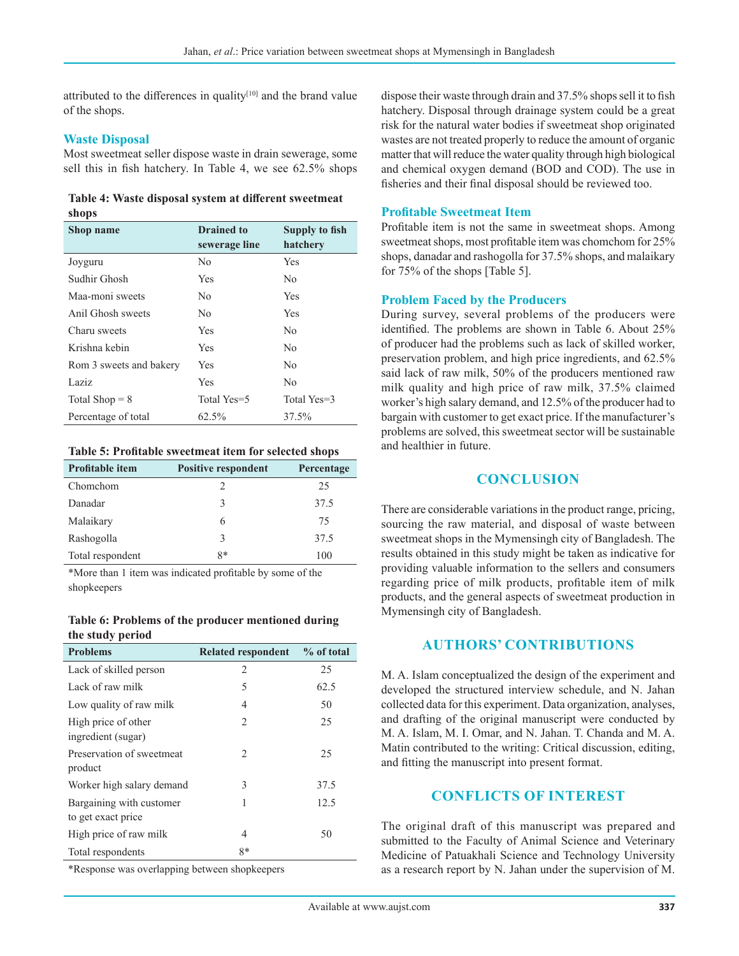attributed to the differences in quality $[10]$  and the brand value of the shops.

#### **Waste Disposal**

Most sweetmeat seller dispose waste in drain sewerage, some sell this in fish hatchery. In Table 4, we see 62.5% shops

**Table 4: Waste disposal system at different sweetmeat shops**

| Shop name               | <b>Drained</b> to | <b>Supply to fish</b> |
|-------------------------|-------------------|-----------------------|
|                         | sewerage line     | hatchery              |
| Joyguru                 | No                | Yes                   |
| Sudhir Ghosh            | <b>Yes</b>        | No.                   |
| Maa-moni sweets         | No.               | Yes                   |
| Anil Ghosh sweets       | No.               | <b>Yes</b>            |
| Charu sweets            | Yes               | No.                   |
| Krishna kebin           | <b>Yes</b>        | No.                   |
| Rom 3 sweets and bakery | Yes               | No                    |
| Laziz                   | Yes               | No.                   |
| Total Shop $= 8$        | Total Yes=5       | Total Yes=3           |
| Percentage of total     | 62.5%             | 37.5%                 |

**Table 5: Profitable sweetmeat item for selected shops**

| <b>Profitable item</b> | <b>Positive respondent</b> | Percentage |
|------------------------|----------------------------|------------|
| Chomchom               |                            | 25         |
| Danadar                | 3                          | 37.5       |
| Malaikary              | 6                          | 75         |
| Rashogolla             | 3                          | 37.5       |
| Total respondent       | 8*                         | 100        |

\*More than 1 item was indicated profitable by some of the shopkeepers

#### **Table 6: Problems of the producer mentioned during the study period**

| <b>Problems</b>                                | <b>Related respondent</b> | $%$ of total |
|------------------------------------------------|---------------------------|--------------|
| Lack of skilled person                         | 2                         | 25           |
| Lack of raw milk                               | 5                         | 62.5         |
| Low quality of raw milk                        | 4                         | 50           |
| High price of other<br>ingredient (sugar)      | 2                         | 25           |
| Preservation of sweetmeat<br>product           | 2                         | 25           |
| Worker high salary demand                      | 3                         | 37.5         |
| Bargaining with customer<br>to get exact price | 1                         | 12.5         |
| High price of raw milk                         | 4                         | 50           |
| Total respondents                              | $8*$                      |              |

\*Response was overlapping between shopkeepers

dispose their waste through drain and 37.5% shops sell it to fish hatchery. Disposal through drainage system could be a great risk for the natural water bodies if sweetmeat shop originated wastes are not treated properly to reduce the amount of organic matter that will reduce the water quality through high biological and chemical oxygen demand (BOD and COD). The use in fisheries and their final disposal should be reviewed too.

#### **Profitable Sweetmeat Item**

Profitable item is not the same in sweetmeat shops. Among sweetmeat shops, most profitable item was chomchom for 25% shops, danadar and rashogolla for 37.5% shops, and malaikary for 75% of the shops [Table 5].

#### **Problem Faced by the Producers**

During survey, several problems of the producers were identified. The problems are shown in Table 6. About 25% of producer had the problems such as lack of skilled worker, preservation problem, and high price ingredients, and 62.5% said lack of raw milk, 50% of the producers mentioned raw milk quality and high price of raw milk, 37.5% claimed worker's high salary demand, and 12.5% of the producer had to bargain with customer to get exact price. If the manufacturer's problems are solved, this sweetmeat sector will be sustainable and healthier in future.

#### **CONCLUSION**

There are considerable variations in the product range, pricing, sourcing the raw material, and disposal of waste between sweetmeat shops in the Mymensingh city of Bangladesh. The results obtained in this study might be taken as indicative for providing valuable information to the sellers and consumers regarding price of milk products, profitable item of milk products, and the general aspects of sweetmeat production in Mymensingh city of Bangladesh.

#### **AUTHORS' CONTRIBUTIONS**

M. A. Islam conceptualized the design of the experiment and developed the structured interview schedule, and N. Jahan collected data for this experiment. Data organization, analyses, and drafting of the original manuscript were conducted by M. A. Islam, M. I. Omar, and N. Jahan. T. Chanda and M. A. Matin contributed to the writing: Critical discussion, editing, and fitting the manuscript into present format.

#### **CONFLICTS OF INTEREST**

The original draft of this manuscript was prepared and submitted to the Faculty of Animal Science and Veterinary Medicine of Patuakhali Science and Technology University as a research report by N. Jahan under the supervision of M.